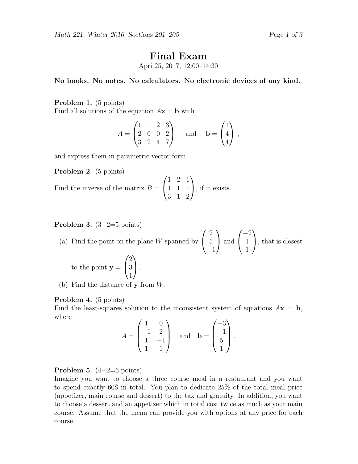# Final Exam

Apri 25, 2017, 12:00–14:30

No books. No notes. No calculators. No electronic devices of any kind.

## Problem 1. (5 points)

Find all solutions of the equation  $A\mathbf{x} = \mathbf{b}$  with

$$
A = \begin{pmatrix} 1 & 1 & 2 & 3 \\ 2 & 0 & 0 & 2 \\ 3 & 2 & 4 & 7 \end{pmatrix} \text{ and } \mathbf{b} = \begin{pmatrix} 1 \\ 4 \\ 4 \end{pmatrix},
$$

and express them in parametric vector form.

Problem 2. (5 points)

Find the inverse of the matrix  $B =$  $\sqrt{ }$  $\overline{1}$ 1 2 1 1 1 1 3 1 2  $\setminus$ , if it exists.

**Problem 3.**  $(3+2=5 \text{ points})$ 

(a) Find the point on the plane  $W$  spanned by  $\sqrt{ }$  $\mathcal{L}$ 2 5 −1  $\setminus$  and  $\sqrt{ }$  $\overline{1}$ −2 1 1  $\setminus$ , that is closest to the point  $y =$  $\sqrt{ }$  $\overline{1}$ 2 3 1  $\setminus$  $\cdot$ 

(b) Find the distance of y from W.

#### Problem 4. (5 points)

Find the least-squares solution to the inconsistent system of equations  $A\mathbf{x} = \mathbf{b}$ , where

$$
A = \begin{pmatrix} 1 & 0 \\ -1 & 2 \\ 1 & -1 \\ 1 & 1 \end{pmatrix} \text{ and } \mathbf{b} = \begin{pmatrix} -3 \\ -1 \\ 5 \\ 1 \end{pmatrix}.
$$

**Problem 5.**  $(4+2=6 \text{ points})$ 

Imagine you want to choose a three course meal in a restaurant and you want to spend exactly 60\$ in total. You plan to dedicate 25% of the total meal price (appetizer, main course and dessert) to the tax and gratuity. In addition, you want to choose a dessert and an appetizer which in total cost twice as much as your main course. Assume that the menu can provide you with options at any price for each course.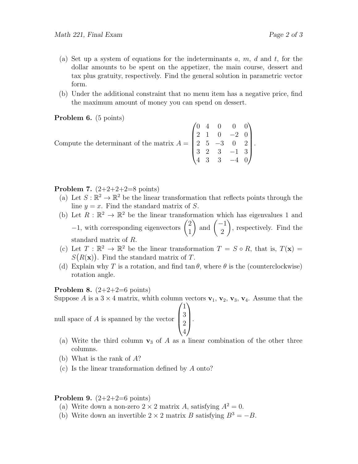- (a) Set up a system of equations for the indeterminants a, m, d and t, for the dollar amounts to be spent on the appetizer, the main course, dessert and tax plus gratuity, respectively. Find the general solution in parametric vector form.
- (b) Under the additional constraint that no menu item has a negative price, find the maximum amount of money you can spend on dessert.

Problem 6. (5 points)

Compute the determinant of the matrix 
$$
A = \begin{pmatrix} 0 & 4 & 0 & 0 & 0 \\ 2 & 1 & 0 & -2 & 0 \\ 2 & 5 & -3 & 0 & 2 \\ 3 & 2 & 3 & -1 & 3 \\ 4 & 3 & 3 & -4 & 0 \end{pmatrix}
$$
.

**Problem 7.**  $(2+2+2+2=8 \text{ points})$ 

- (a) Let  $S: \mathbb{R}^2 \to \mathbb{R}^2$  be the linear transformation that reflects points through the line  $y = x$ . Find the standard matrix of S.
- (b) Let  $R : \mathbb{R}^2 \to \mathbb{R}^2$  be the linear transformation which has eigenvalues 1 and  $-1$ , with corresponding eigenvectors  $\begin{pmatrix} 2 \\ 1 \end{pmatrix}$ 1 ) and  $\begin{pmatrix} -1 \\ 2 \end{pmatrix}$ 2  $\setminus$ , respectively. Find the standard matrix of R.
- (c) Let  $T : \mathbb{R}^2 \to \mathbb{R}^2$  be the linear transformation  $T = S \circ R$ , that is,  $T(\mathbf{x}) =$  $S(R(\mathbf{x}))$ . Find the standard matrix of T.
- (d) Explain why T is a rotation, and find  $\tan \theta$ , where  $\theta$  is the (counterclockwise) rotation angle.

**Problem 8.**  $(2+2+2=6 \text{ points})$ 

Suppose A is a  $3 \times 4$  matrix, whith column vectors  $v_1$ ,  $v_2$ ,  $v_3$ ,  $v_4$ . Assume that the  $\sqrt{ }$  $\setminus$ 

1

null space of A is spanned by the vector  $\overline{\phantom{a}}$ 3 2 4  $\left| \cdot \right|$ 

- (a) Write the third column  $\mathbf{v}_3$  of A as a linear combination of the other three columns.
- (b) What is the rank of A?
- (c) Is the linear transformation defined by A onto?

### **Problem 9.**  $(2+2+2=6 \text{ points})$

- (a) Write down a non-zero  $2 \times 2$  matrix A, satisfying  $A^2 = 0$ .
- (b) Write down an invertible  $2 \times 2$  matrix B satisfying  $B^3 = -B$ .